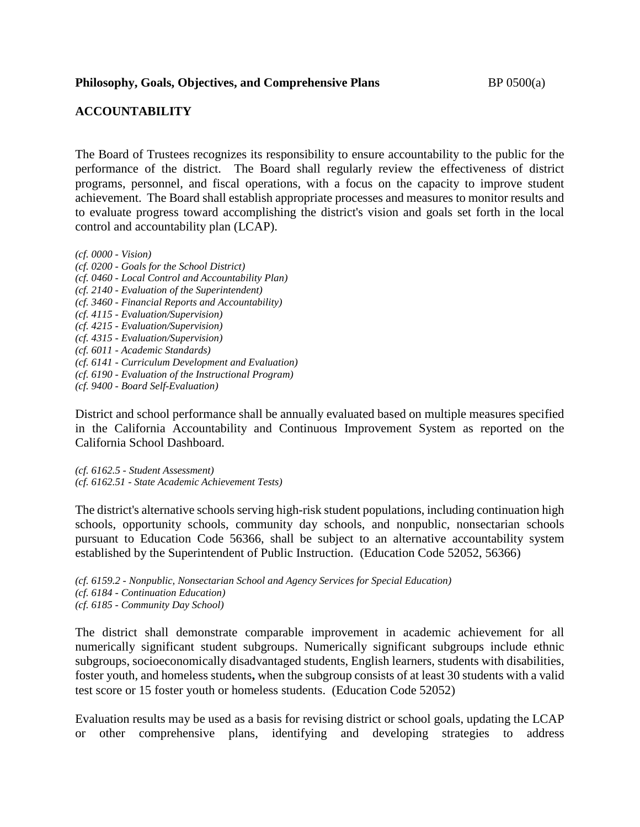## **ACCOUNTABILITY**

The Board of Trustees recognizes its responsibility to ensure accountability to the public for the performance of the district. The Board shall regularly review the effectiveness of district programs, personnel, and fiscal operations, with a focus on the capacity to improve student achievement. The Board shall establish appropriate processes and measures to monitor results and to evaluate progress toward accomplishing the district's vision and goals set forth in the local control and accountability plan (LCAP).

*(cf. 0000 - Vision)*

*(cf. 0200 - Goals for the School District) (cf. 0460 - Local Control and Accountability Plan) (cf. 2140 - Evaluation of the Superintendent) (cf. 3460 - Financial Reports and Accountability) (cf. 4115 - Evaluation/Supervision) (cf. 4215 - Evaluation/Supervision) (cf. 4315 - Evaluation/Supervision) (cf. 6011 - Academic Standards) (cf. 6141 - Curriculum Development and Evaluation) (cf. 6190 - Evaluation of the Instructional Program) (cf. 9400 - Board Self-Evaluation)*

District and school performance shall be annually evaluated based on multiple measures specified in the California Accountability and Continuous Improvement System as reported on the California School Dashboard.

*(cf. 6162.5 - Student Assessment) (cf. 6162.51 - State Academic Achievement Tests)*

The district's alternative schools serving high-risk student populations, including continuation high schools, opportunity schools, community day schools, and nonpublic, nonsectarian schools pursuant to Education Code 56366, shall be subject to an alternative accountability system established by the Superintendent of Public Instruction. (Education Code 52052, 56366)

*(cf. 6159.2 - Nonpublic, Nonsectarian School and Agency Services for Special Education) (cf. 6184 - Continuation Education) (cf. 6185 - Community Day School)*

The district shall demonstrate comparable improvement in academic achievement for all numerically significant student subgroups. Numerically significant subgroups include ethnic subgroups, socioeconomically disadvantaged students, English learners, students with disabilities, foster youth, and homeless students**,** when the subgroup consists of at least 30 students with a valid test score or 15 foster youth or homeless students. (Education Code 52052)

Evaluation results may be used as a basis for revising district or school goals, updating the LCAP or other comprehensive plans, identifying and developing strategies to address